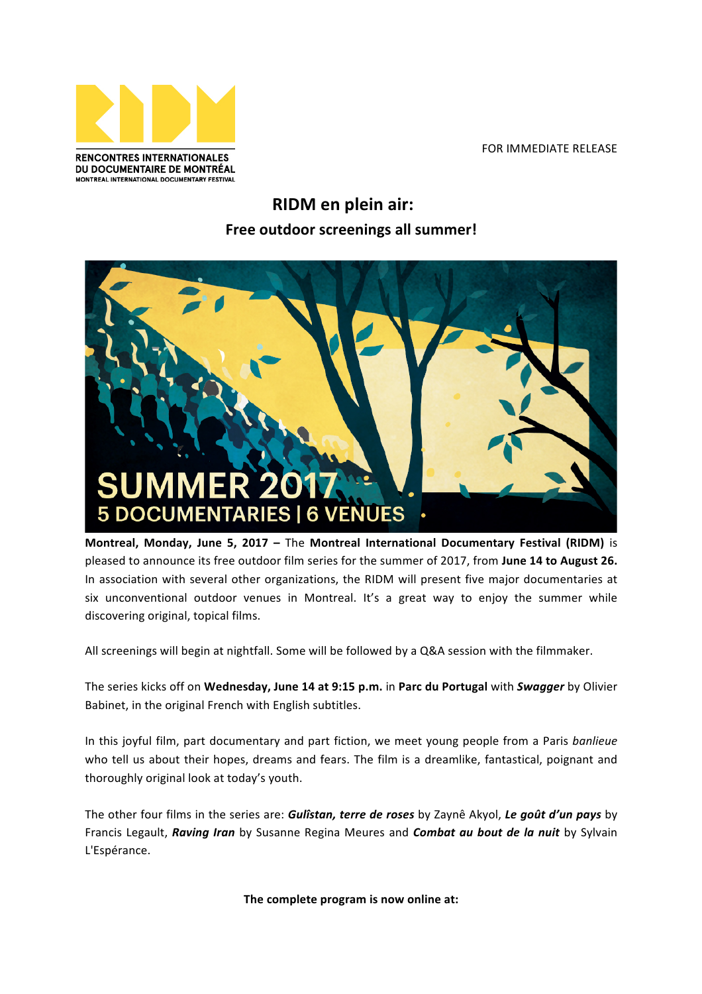

FOR IMMEDIATE RELEASE

## **RIDM en plein air: Free outdoor screenings all summer!**



**Montreal, Monday, June 5, 2017 - The Montreal International Documentary Festival (RIDM)** is pleased to announce its free outdoor film series for the summer of 2017, from June 14 to August 26. In association with several other organizations, the RIDM will present five major documentaries at six unconventional outdoor venues in Montreal. It's a great way to enjoy the summer while discovering original, topical films.

All screenings will begin at nightfall. Some will be followed by a Q&A session with the filmmaker.

The series kicks off on Wednesday, June 14 at 9:15 p.m. in Parc du Portugal with *Swagger* by Olivier Babinet, in the original French with English subtitles.

In this joyful film, part documentary and part fiction, we meet young people from a Paris *banlieue* who tell us about their hopes, dreams and fears. The film is a dreamlike, fantastical, poignant and thoroughly original look at today's youth.

The other four films in the series are: *Gulîstan, terre de roses* by Zaynê Akyol, Le goût d'un pays by Francis Legault, *Raving Iran* by Susanne Regina Meures and *Combat au bout de la nuit* by Sylvain L'Espérance. 

The complete program is now online at: